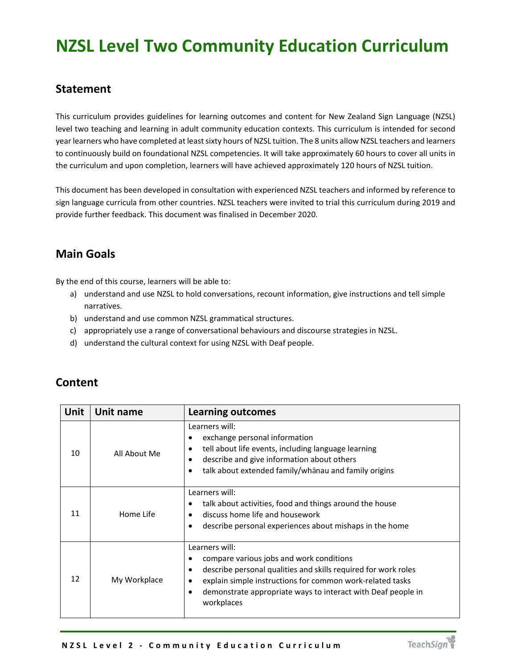# **NZSL Level Two Community Education Curriculum**

#### **Statement**

This curriculum provides guidelines for learning outcomes and content for New Zealand Sign Language (NZSL) level two teaching and learning in adult community education contexts. This curriculum is intended for second year learners who have completed at least sixty hours of NZSL tuition. The 8 units allow NZSL teachers and learners to continuously build on foundational NZSL competencies. It will take approximately 60 hours to cover all units in the curriculum and upon completion, learners will have achieved approximately 120 hours of NZSL tuition.

This document has been developed in consultation with experienced NZSL teachers and informed by reference to sign language curricula from other countries. NZSL teachers were invited to trial this curriculum during 2019 and provide further feedback. This document was finalised in December 2020.

# **Main Goals**

By the end of this course, learners will be able to:

- a) understand and use NZSL to hold conversations, recount information, give instructions and tell simple narratives.
- b) understand and use common NZSL grammatical structures.
- c) appropriately use a range of conversational behaviours and discourse strategies in NZSL.
- d) understand the cultural context for using NZSL with Deaf people.

| <b>Unit</b> | Unit name    | <b>Learning outcomes</b>                                                                                                                                                                                                                                                                               |
|-------------|--------------|--------------------------------------------------------------------------------------------------------------------------------------------------------------------------------------------------------------------------------------------------------------------------------------------------------|
| 10          | All About Me | Learners will:<br>exchange personal information<br>tell about life events, including language learning<br>$\bullet$<br>describe and give information about others<br>$\bullet$<br>talk about extended family/whanau and family origins<br>$\bullet$                                                    |
| 11          | Home Life    | Learners will:<br>talk about activities, food and things around the house<br>٠<br>discuss home life and housework<br>describe personal experiences about mishaps in the home<br>$\bullet$                                                                                                              |
| 12          | My Workplace | Learners will:<br>compare various jobs and work conditions<br>٠<br>describe personal qualities and skills required for work roles<br>$\bullet$<br>explain simple instructions for common work-related tasks<br>demonstrate appropriate ways to interact with Deaf people in<br>$\bullet$<br>workplaces |

### **Content**

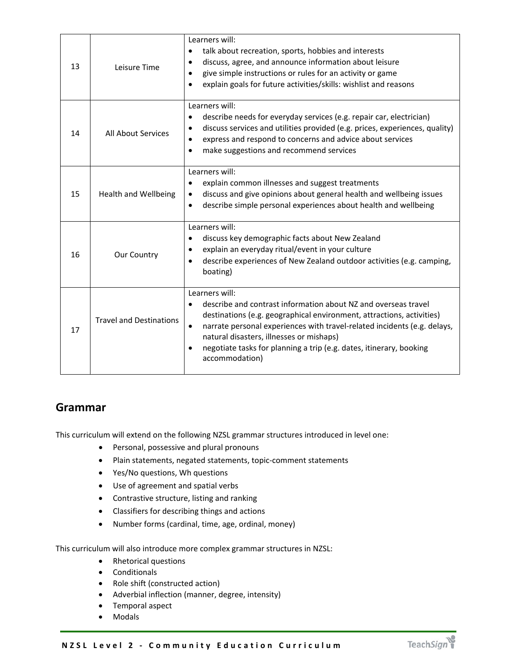| 13 | Leisure Time                   | Learners will:<br>talk about recreation, sports, hobbies and interests<br>$\bullet$<br>discuss, agree, and announce information about leisure<br>$\bullet$<br>give simple instructions or rules for an activity or game<br>$\bullet$<br>explain goals for future activities/skills: wishlist and reasons<br>$\bullet$                                                                                             |
|----|--------------------------------|-------------------------------------------------------------------------------------------------------------------------------------------------------------------------------------------------------------------------------------------------------------------------------------------------------------------------------------------------------------------------------------------------------------------|
| 14 | <b>All About Services</b>      | Learners will:<br>describe needs for everyday services (e.g. repair car, electrician)<br>$\bullet$<br>discuss services and utilities provided (e.g. prices, experiences, quality)<br>$\bullet$<br>express and respond to concerns and advice about services<br>$\bullet$<br>make suggestions and recommend services<br>$\bullet$                                                                                  |
| 15 | <b>Health and Wellbeing</b>    | Learners will:<br>explain common illnesses and suggest treatments<br>$\bullet$<br>discuss and give opinions about general health and wellbeing issues<br>$\bullet$<br>describe simple personal experiences about health and wellbeing<br>$\bullet$                                                                                                                                                                |
| 16 | Our Country                    | Learners will:<br>discuss key demographic facts about New Zealand<br>$\bullet$<br>explain an everyday ritual/event in your culture<br>$\bullet$<br>describe experiences of New Zealand outdoor activities (e.g. camping,<br>$\bullet$<br>boating)                                                                                                                                                                 |
| 17 | <b>Travel and Destinations</b> | Learners will:<br>describe and contrast information about NZ and overseas travel<br>$\bullet$<br>destinations (e.g. geographical environment, attractions, activities)<br>narrate personal experiences with travel-related incidents (e.g. delays,<br>$\bullet$<br>natural disasters, illnesses or mishaps)<br>negotiate tasks for planning a trip (e.g. dates, itinerary, booking<br>$\bullet$<br>accommodation) |

### **Grammar**

This curriculum will extend on the following NZSL grammar structures introduced in level one:

- **•** Personal, possessive and plural pronouns
- Plain statements, negated statements, topic-comment statements
- Yes/No questions, Wh questions
- Use of agreement and spatial verbs
- Contrastive structure, listing and ranking
- Classifiers for describing things and actions
- Number forms (cardinal, time, age, ordinal, money)

This curriculum will also introduce more complex grammar structures in NZSL:

- Rhetorical questions
- Conditionals
- Role shift (constructed action)
- Adverbial inflection (manner, degree, intensity)
- Temporal aspect
- Modals